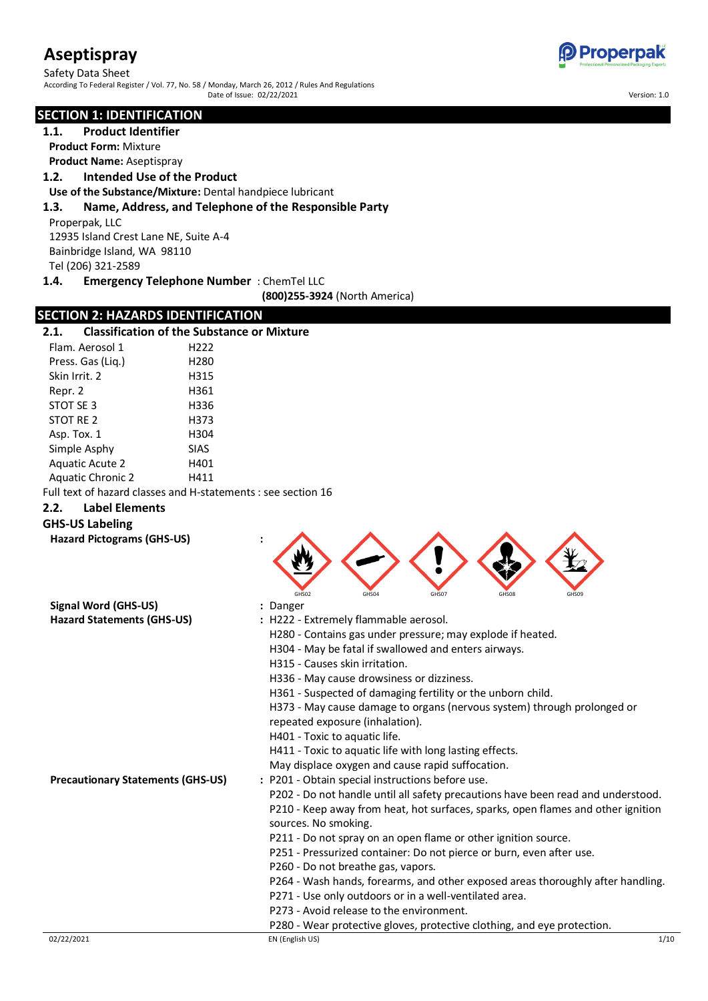Safety Data Sheet According To Federal Register / Vol. 77, No. 58 / Monday, March 26, 2012 / Rules And Regulations Date of Issue: 02/22/2021 Version: 1.0

#### **SECTION 1: IDENTIFICATION**

**1.1. Product Identifier**

**Product Form:** Mixture

**Product Name:** Aseptispray

# **1.2. Intended Use of the Product**

**Use of the Substance/Mixture:** Dental handpiece lubricant

#### **1.3. Name, Address, and Telephone of the Responsible Party**

Properpak, LLC 12935 Island Crest Lane NE, Suite A-4 Bainbridge Island, WA 98110

Tel (206) 321-2589<br>**1.4.** Emergency

#### **1.4. Emergency Telephone Number** : ChemTel LLC

**(800)255-3924** (North America)

#### **SECTION 2: HAZARDS IDENTIFICATION**

| 2.1.                          | <b>Classification of the Substance or Mixture</b>             |
|-------------------------------|---------------------------------------------------------------|
| Flam. Aerosol 1               | H222                                                          |
| Press. Gas (Lig.)             | H280                                                          |
| Skin Irrit, 2                 | H315                                                          |
| Repr. 2                       | H361                                                          |
| STOT SE 3                     | H336                                                          |
| STOT RE 2                     | H373                                                          |
| Asp. Tox. 1                   | H304                                                          |
| Simple Asphy                  | <b>SIAS</b>                                                   |
| <b>Aquatic Acute 2</b>        | H401                                                          |
| <b>Aquatic Chronic 2</b>      | H411                                                          |
|                               | Full text of hazard classes and H-statements : see section 16 |
| <b>Label Elements</b><br>2.2. |                                                               |

# **GHS-US Labeling**

**Hazard Pictograms (GHS-US) :**

| GHS02 | GHS04 | GHS07 | GHS08 | GHS09 |
|-------|-------|-------|-------|-------|

| <b>Signal Word (GHS-US)</b>       | : Danger                                                                         |
|-----------------------------------|----------------------------------------------------------------------------------|
| <b>Hazard Statements (GHS-US)</b> | : H222 - Extremely flammable aerosol.                                            |
|                                   | H280 - Contains gas under pressure; may explode if heated.                       |
|                                   | H304 - May be fatal if swallowed and enters airways.                             |
|                                   | H315 - Causes skin irritation.                                                   |
|                                   | H336 - May cause drowsiness or dizziness.                                        |
|                                   | H361 - Suspected of damaging fertility or the unborn child.                      |
|                                   | H373 - May cause damage to organs (nervous system) through prolonged or          |
|                                   | repeated exposure (inhalation).                                                  |
|                                   | H401 - Toxic to aquatic life.                                                    |
|                                   | H411 - Toxic to aquatic life with long lasting effects.                          |
|                                   | May displace oxygen and cause rapid suffocation.                                 |
| Precautionary Statements (GHS-US) | : P201 - Obtain special instructions before use.                                 |
|                                   | P202 - Do not handle until all safety precautions have been read and understood. |
|                                   | P210 - Keep away from heat, hot surfaces, sparks, open flames and other ignition |
|                                   | sources. No smoking.                                                             |
|                                   | P211 - Do not spray on an open flame or other ignition source.                   |
|                                   | P251 - Pressurized container: Do not pierce or burn, even after use.             |
|                                   | P260 - Do not breathe gas, vapors.                                               |
|                                   | P264 - Wash hands, forearms, and other exposed areas thoroughly after handling.  |
|                                   | P271 - Use only outdoors or in a well-ventilated area.                           |
|                                   | P273 - Avoid release to the environment.                                         |
|                                   | P280 - Wear protective gloves, protective clothing, and eye protection.          |

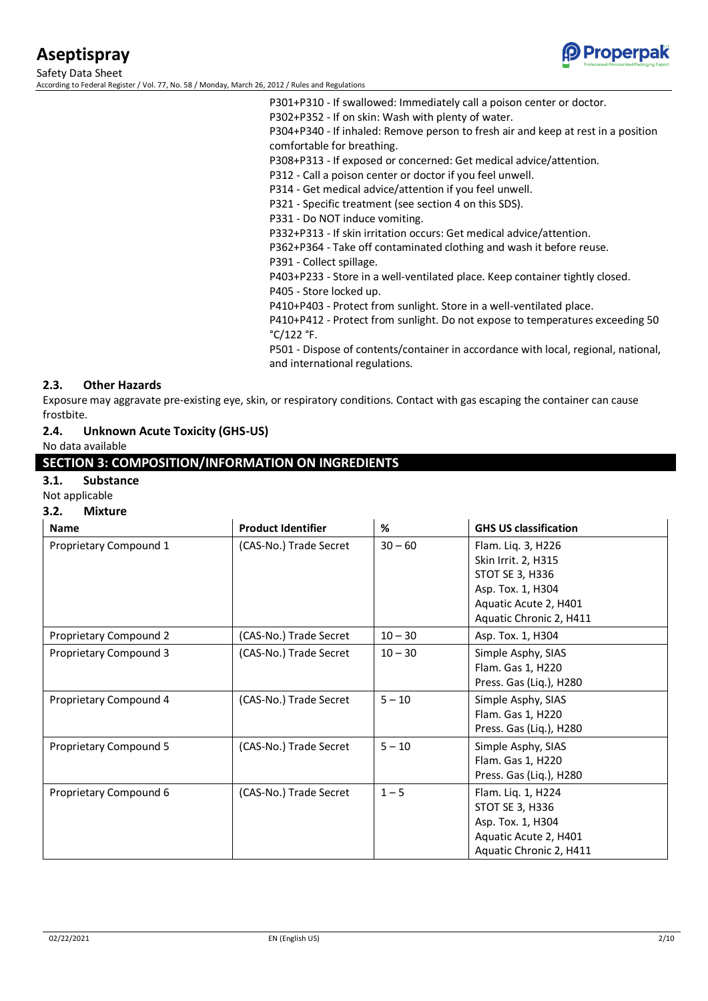

Safety Data Sheet According to Federal Register / Vol. 77, No. 58 / Monday, March 26, 2012 / Rules and Regulations

> P301+P310 - If swallowed: Immediately call a poison center or doctor. P302+P352 - If on skin: Wash with plenty of water. P304+P340 - If inhaled: Remove person to fresh air and keep at rest in a position comfortable for breathing. P308+P313 - If exposed or concerned: Get medical advice/attention. P312 - Call a poison center or doctor if you feel unwell. P314 - Get medical advice/attention if you feel unwell. P321 - Specific treatment (see section 4 on this SDS). P331 - Do NOT induce vomiting. P332+P313 - If skin irritation occurs: Get medical advice/attention. P362+P364 - Take off contaminated clothing and wash it before reuse. P391 - Collect spillage. P403+P233 - Store in a well-ventilated place. Keep container tightly closed. P405 - Store locked up. P410+P403 - Protect from sunlight. Store in a well-ventilated place. P410+P412 - Protect from sunlight. Do not expose to temperatures exceeding 50 °C/122 °F. P501 - Dispose of contents/container in accordance with local, regional, national,

#### **2.3. Other Hazards**

Exposure may aggravate pre-existing eye, skin, or respiratory conditions. Contact with gas escaping the container can cause frostbite.

and international regulations.

#### **2.4. Unknown Acute Toxicity (GHS-US)**

No data available

#### **SECTION 3: COMPOSITION/INFORMATION ON INGREDIENTS**

#### **3.1. Substance**

### Not applicable

#### **3.2. Mixture**

| <b>Name</b>            | <b>Product Identifier</b> | %         | <b>GHS US classification</b>                                                                                                          |
|------------------------|---------------------------|-----------|---------------------------------------------------------------------------------------------------------------------------------------|
| Proprietary Compound 1 | (CAS-No.) Trade Secret    | $30 - 60$ | Flam. Liq. 3, H226<br>Skin Irrit. 2, H315<br>STOT SE 3, H336<br>Asp. Tox. 1, H304<br>Aquatic Acute 2, H401<br>Aquatic Chronic 2, H411 |
| Proprietary Compound 2 | (CAS-No.) Trade Secret    | $10 - 30$ | Asp. Tox. 1, H304                                                                                                                     |
| Proprietary Compound 3 | (CAS-No.) Trade Secret    | $10 - 30$ | Simple Asphy, SIAS<br>Flam. Gas 1, H220<br>Press. Gas (Liq.), H280                                                                    |
| Proprietary Compound 4 | (CAS-No.) Trade Secret    | $5 - 10$  | Simple Asphy, SIAS<br>Flam. Gas 1, H220<br>Press. Gas (Liq.), H280                                                                    |
| Proprietary Compound 5 | (CAS-No.) Trade Secret    | $5 - 10$  | Simple Asphy, SIAS<br>Flam. Gas 1, H220<br>Press. Gas (Liq.), H280                                                                    |
| Proprietary Compound 6 | (CAS-No.) Trade Secret    | $1 - 5$   | Flam. Liq. 1, H224<br>STOT SE 3, H336<br>Asp. Tox. 1, H304<br>Aquatic Acute 2, H401<br>Aquatic Chronic 2, H411                        |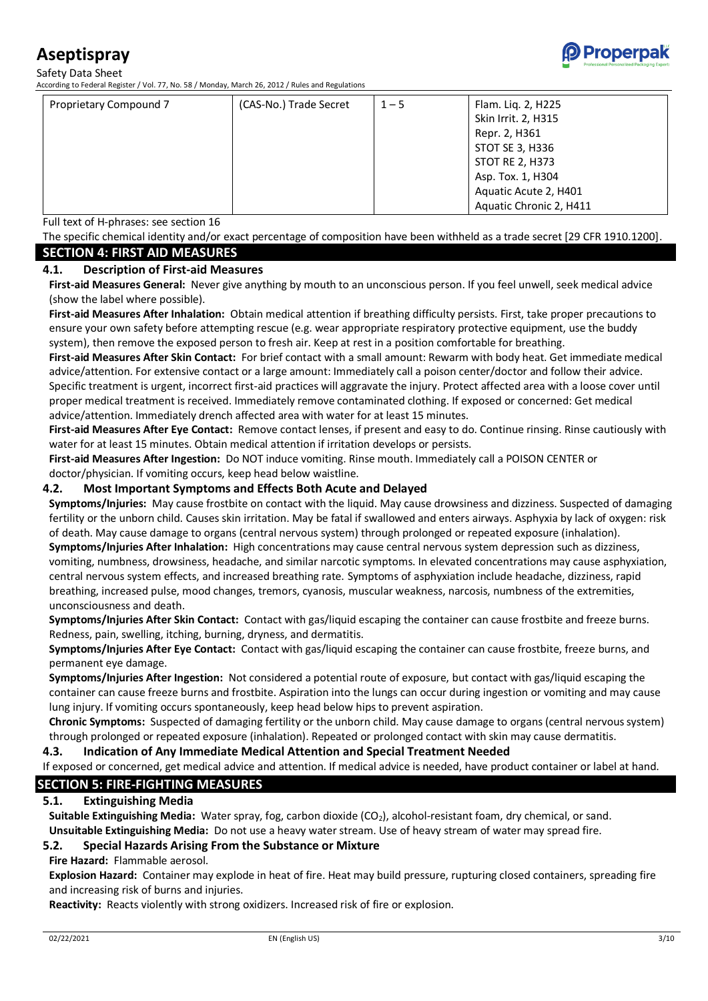Safety Data Sheet

According to Federal Register / Vol. 77, No. 58 / Monday, March 26, 2012 / Rules and Regulations



Full text of H-phrases: see section 16

The specific chemical identity and/or exact percentage of composition have been withheld as a trade secret [29 CFR 1910.1200]. **SECTION 4: FIRST AID MEASURES**

#### **4.1. Description of First-aid Measures**

**First-aid Measures General:** Never give anything by mouth to an unconscious person. If you feel unwell, seek medical advice (show the label where possible).

**First-aid Measures After Inhalation:** Obtain medical attention if breathing difficulty persists. First, take proper precautions to ensure your own safety before attempting rescue (e.g. wear appropriate respiratory protective equipment, use the buddy system), then remove the exposed person to fresh air. Keep at rest in a position comfortable for breathing.

**First-aid Measures After Skin Contact:** For brief contact with a small amount: Rewarm with body heat. Get immediate medical advice/attention. For extensive contact or a large amount: Immediately call a poison center/doctor and follow their advice. Specific treatment is urgent, incorrect first-aid practices will aggravate the injury. Protect affected area with a loose cover until proper medical treatment is received. Immediately remove contaminated clothing. If exposed or concerned: Get medical advice/attention. Immediately drench affected area with water for at least 15 minutes.

**First-aid Measures After Eye Contact:** Remove contact lenses, if present and easy to do. Continue rinsing. Rinse cautiously with water for at least 15 minutes. Obtain medical attention if irritation develops or persists.

**First-aid Measures After Ingestion:** Do NOT induce vomiting. Rinse mouth. Immediately call a POISON CENTER or doctor/physician. If vomiting occurs, keep head below waistline.

#### **4.2. Most Important Symptoms and Effects Both Acute and Delayed**

**Symptoms/Injuries:** May cause frostbite on contact with the liquid. May cause drowsiness and dizziness. Suspected of damaging fertility or the unborn child. Causes skin irritation. May be fatal if swallowed and enters airways. Asphyxia by lack of oxygen: risk of death. May cause damage to organs (central nervous system) through prolonged or repeated exposure (inhalation). **Symptoms/Injuries After Inhalation:** High concentrations may cause central nervous system depression such as dizziness, vomiting, numbness, drowsiness, headache, and similar narcotic symptoms. In elevated concentrations may cause asphyxiation, central nervous system effects, and increased breathing rate. Symptoms of asphyxiation include headache, dizziness, rapid breathing, increased pulse, mood changes, tremors, cyanosis, muscular weakness, narcosis, numbness of the extremities,

unconsciousness and death.

**Symptoms/Injuries After Skin Contact:** Contact with gas/liquid escaping the container can cause frostbite and freeze burns. Redness, pain, swelling, itching, burning, dryness, and dermatitis.

**Symptoms/Injuries After Eye Contact:** Contact with gas/liquid escaping the container can cause frostbite, freeze burns, and permanent eye damage.

**Symptoms/Injuries After Ingestion:** Not considered a potential route of exposure, but contact with gas/liquid escaping the container can cause freeze burns and frostbite. Aspiration into the lungs can occur during ingestion or vomiting and may cause lung injury. If vomiting occurs spontaneously, keep head below hips to prevent aspiration.

**Chronic Symptoms:** Suspected of damaging fertility or the unborn child. May cause damage to organs (central nervous system) through prolonged or repeated exposure (inhalation). Repeated or prolonged contact with skin may cause dermatitis.

#### **4.3. Indication of Any Immediate Medical Attention and Special Treatment Needed**

# If exposed or concerned, get medical advice and attention. If medical advice is needed, have product container or label at hand.

#### **SECTION 5: FIRE-FIGHTING MEASURES**

#### **5.1. Extinguishing Media**

**Suitable Extinguishing Media:** Water spray, fog, carbon dioxide (CO2), alcohol-resistant foam, dry chemical, or sand. **Unsuitable Extinguishing Media:** Do not use a heavy water stream. Use of heavy stream of water may spread fire.

#### **5.2. Special Hazards Arising From the Substance or Mixture**

**Fire Hazard:** Flammable aerosol.

**Explosion Hazard:** Container may explode in heat of fire. Heat may build pressure, rupturing closed containers, spreading fire and increasing risk of burns and injuries.

**Reactivity:** Reacts violently with strong oxidizers. Increased risk of fire or explosion.

Properpak<sup>"</sup>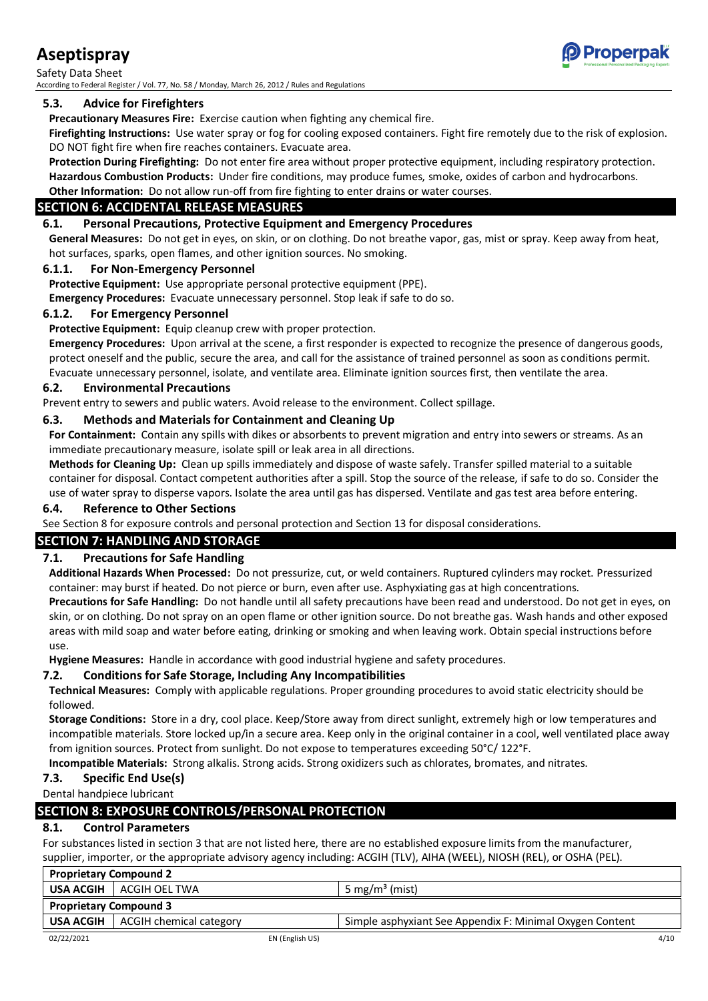Safety Data Sheet According to Federal Register / Vol. 77, No. 58 / Monday, March 26, 2012 / Rules and Regulations

# **5.3. Advice for Firefighters**

**Precautionary Measures Fire:** Exercise caution when fighting any chemical fire.

**Firefighting Instructions:** Use water spray or fog for cooling exposed containers. Fight fire remotely due to the risk of explosion. DO NOT fight fire when fire reaches containers. Evacuate area.

**Protection During Firefighting:** Do not enter fire area without proper protective equipment, including respiratory protection. **Hazardous Combustion Products:** Under fire conditions, may produce fumes, smoke, oxides of carbon and hydrocarbons.

# **Other Information:** Do not allow run-off from fire fighting to enter drains or water courses.

# **SECTION 6: ACCIDENTAL RELEASE MEASURES**

# **6.1. Personal Precautions, Protective Equipment and Emergency Procedures**

**General Measures:** Do not get in eyes, on skin, or on clothing. Do not breathe vapor, gas, mist or spray. Keep away from heat, hot surfaces, sparks, open flames, and other ignition sources. No smoking.

## **6.1.1. For Non-Emergency Personnel**

**Protective Equipment:** Use appropriate personal protective equipment (PPE).

**Emergency Procedures:** Evacuate unnecessary personnel. Stop leak if safe to do so.

## **6.1.2. For Emergency Personnel**

**Protective Equipment:** Equip cleanup crew with proper protection.

**Emergency Procedures:** Upon arrival at the scene, a first responder is expected to recognize the presence of dangerous goods, protect oneself and the public, secure the area, and call for the assistance of trained personnel as soon as conditions permit. Evacuate unnecessary personnel, isolate, and ventilate area. Eliminate ignition sources first, then ventilate the area.

# **6.2. Environmental Precautions**

Prevent entry to sewers and public waters. Avoid release to the environment. Collect spillage.

# **6.3. Methods and Materials for Containment and Cleaning Up**

**For Containment:** Contain any spills with dikes or absorbents to prevent migration and entry into sewers or streams. As an immediate precautionary measure, isolate spill or leak area in all directions.

**Methods for Cleaning Up:** Clean up spills immediately and dispose of waste safely. Transfer spilled material to a suitable container for disposal. Contact competent authorities after a spill. Stop the source of the release, if safe to do so. Consider the use of water spray to disperse vapors. Isolate the area until gas has dispersed. Ventilate and gas test area before entering.

## **6.4. Reference to Other Sections**

See Section 8 for exposure controls and personal protection and Section 13 for disposal considerations.

# **SECTION 7: HANDLING AND STORAGE**

# **7.1. Precautions for Safe Handling**

**Additional Hazards When Processed:** Do not pressurize, cut, or weld containers. Ruptured cylinders may rocket. Pressurized container: may burst if heated. Do not pierce or burn, even after use. Asphyxiating gas at high concentrations.

**Precautions for Safe Handling:** Do not handle until all safety precautions have been read and understood. Do not get in eyes, on skin, or on clothing. Do not spray on an open flame or other ignition source. Do not breathe gas. Wash hands and other exposed areas with mild soap and water before eating, drinking or smoking and when leaving work. Obtain special instructions before use.

**Hygiene Measures:** Handle in accordance with good industrial hygiene and safety procedures.

# **7.2. Conditions for Safe Storage, Including Any Incompatibilities**

**Technical Measures:** Comply with applicable regulations. Proper grounding procedures to avoid static electricity should be followed.

**Storage Conditions:** Store in a dry, cool place. Keep/Store away from direct sunlight, extremely high or low temperatures and incompatible materials. Store locked up/in a secure area. Keep only in the original container in a cool, well ventilated place away from ignition sources. Protect from sunlight. Do not expose to temperatures exceeding 50°C/ 122°F.

**Incompatible Materials:** Strong alkalis. Strong acids. Strong oxidizers such as chlorates, bromates, and nitrates.

# **7.3. Specific End Use(s)**

Dental handpiece lubricant

# **SECTION 8: EXPOSURE CONTROLS/PERSONAL PROTECTION**

## **8.1. Control Parameters**

For substances listed in section 3 that are not listed here, there are no established exposure limits from the manufacturer, supplier, importer, or the appropriate advisory agency including: ACGIH (TLV), AIHA (WEEL), NIOSH (REL), or OSHA (PEL).

| <b>Proprietary Compound 2</b> |                                            |                                                          |
|-------------------------------|--------------------------------------------|----------------------------------------------------------|
|                               | USA ACGIH   ACGIH OEL TWA                  | 5 mg/m <sup>3</sup> (mist)                               |
| <b>Proprietary Compound 3</b> |                                            |                                                          |
|                               | <b>USA ACGIH</b>   ACGIH chemical category | Simple asphyxiant See Appendix F: Minimal Oxygen Content |
|                               |                                            |                                                          |

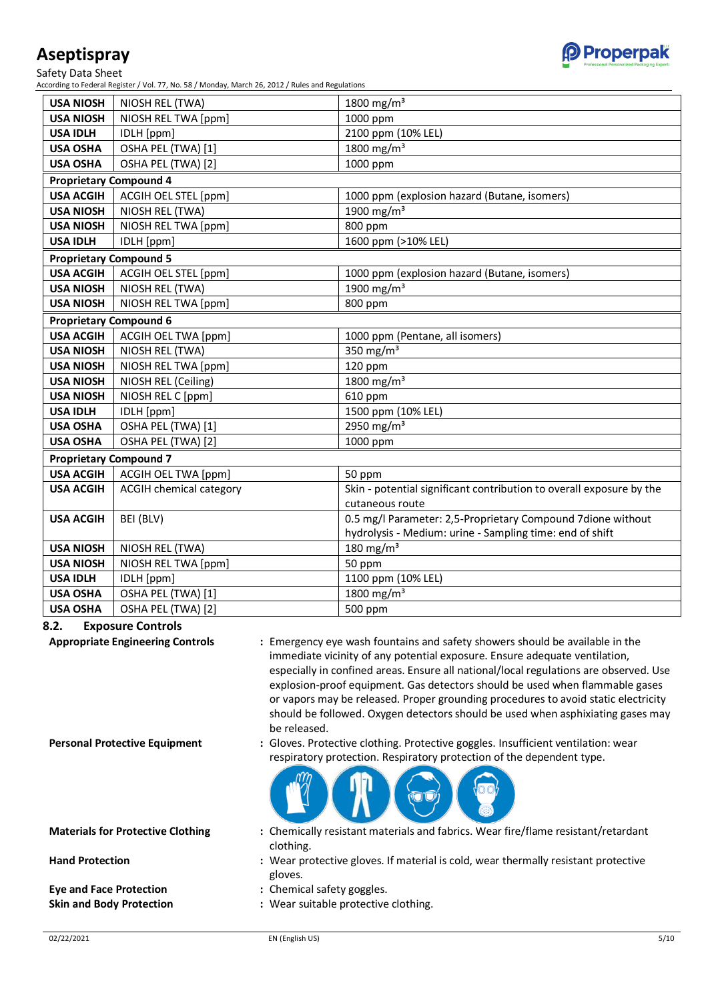Safety Data Sheet

According to Federal Register / Vol. 77, No. 58 / Monday, March 26, 2012 / Rules and Regulations

| <b>USA NIOSH</b>              | NIOSH REL (TWA)                | 1800 mg/m <sup>3</sup>                                               |
|-------------------------------|--------------------------------|----------------------------------------------------------------------|
| <b>USA NIOSH</b>              | NIOSH REL TWA [ppm]            | 1000 ppm                                                             |
| <b>USA IDLH</b>               | IDLH [ppm]                     | 2100 ppm (10% LEL)                                                   |
| <b>USA OSHA</b>               | OSHA PEL (TWA) [1]             | 1800 mg/m <sup>3</sup>                                               |
| <b>USA OSHA</b>               | OSHA PEL (TWA) [2]             | 1000 ppm                                                             |
| <b>Proprietary Compound 4</b> |                                |                                                                      |
| <b>USA ACGIH</b>              | ACGIH OEL STEL [ppm]           | 1000 ppm (explosion hazard (Butane, isomers)                         |
| <b>USA NIOSH</b>              | NIOSH REL (TWA)                | 1900 mg/m <sup>3</sup>                                               |
| <b>USA NIOSH</b>              | NIOSH REL TWA [ppm]            | 800 ppm                                                              |
| <b>USA IDLH</b>               | IDLH [ppm]                     | 1600 ppm (>10% LEL)                                                  |
| <b>Proprietary Compound 5</b> |                                |                                                                      |
| <b>USA ACGIH</b>              | ACGIH OEL STEL [ppm]           | 1000 ppm (explosion hazard (Butane, isomers)                         |
| <b>USA NIOSH</b>              | NIOSH REL (TWA)                | 1900 mg/m <sup>3</sup>                                               |
| <b>USA NIOSH</b>              | NIOSH REL TWA [ppm]            | 800 ppm                                                              |
| <b>Proprietary Compound 6</b> |                                |                                                                      |
| <b>USA ACGIH</b>              | ACGIH OEL TWA [ppm]            | 1000 ppm (Pentane, all isomers)                                      |
| <b>USA NIOSH</b>              | NIOSH REL (TWA)                | 350 mg/m $3$                                                         |
| <b>USA NIOSH</b>              | NIOSH REL TWA [ppm]            | 120 ppm                                                              |
| <b>USA NIOSH</b>              | NIOSH REL (Ceiling)            | 1800 mg/m <sup>3</sup>                                               |
| <b>USA NIOSH</b>              | NIOSH REL C [ppm]              | 610 ppm                                                              |
| <b>USA IDLH</b>               | IDLH [ppm]                     | 1500 ppm (10% LEL)                                                   |
| <b>USA OSHA</b>               | OSHA PEL (TWA) [1]             | 2950 mg/m <sup>3</sup>                                               |
| <b>USA OSHA</b>               | OSHA PEL (TWA) [2]             | 1000 ppm                                                             |
| <b>Proprietary Compound 7</b> |                                |                                                                      |
| <b>USA ACGIH</b>              | ACGIH OEL TWA [ppm]            | 50 ppm                                                               |
| <b>USA ACGIH</b>              | <b>ACGIH chemical category</b> | Skin - potential significant contribution to overall exposure by the |
|                               |                                | cutaneous route                                                      |
| <b>USA ACGIH</b>              | BEI (BLV)                      | 0.5 mg/l Parameter: 2,5-Proprietary Compound 7dione without          |
|                               |                                | hydrolysis - Medium: urine - Sampling time: end of shift             |
| <b>USA NIOSH</b>              | NIOSH REL (TWA)                | 180 mg/m $3$                                                         |
| <b>USA NIOSH</b>              | NIOSH REL TWA [ppm]            | 50 ppm                                                               |
| <b>USA IDLH</b>               | IDLH [ppm]                     | 1100 ppm (10% LEL)                                                   |
| <b>USA OSHA</b>               | OSHA PEL (TWA) [1]             | 1800 mg/m <sup>3</sup>                                               |
| <b>USA OSHA</b>               | OSHA PEL (TWA) [2]             | 500 ppm                                                              |

**8.2. Exposure Controls**

**Appropriate Engineering Controls :** Emergency eye wash fountains and safety showers should be available in the immediate vicinity of any potential exposure. Ensure adequate ventilation, especially in confined areas. Ensure all national/local regulations are observed. Use explosion-proof equipment. Gas detectors should be used when flammable gases or vapors may be released. Proper grounding procedures to avoid static electricity should be followed. Oxygen detectors should be used when asphixiating gases may be released.

**Personal Protective Equipment :** Gloves. Protective clothing. Protective goggles. Insufficient ventilation: wear respiratory protection. Respiratory protection of the dependent type.



**Materials for Protective Clothing :** Chemically resistant materials and fabrics. Wear fire/flame resistant/retardant clothing.

- **Hand Protection :** Wear protective gloves. If material is cold, wear thermally resistant protective gloves.
- **Eye and Face Protection :** Chemical safety goggles.
- **Skin and Body Protection :** Wear suitable protective clothing.

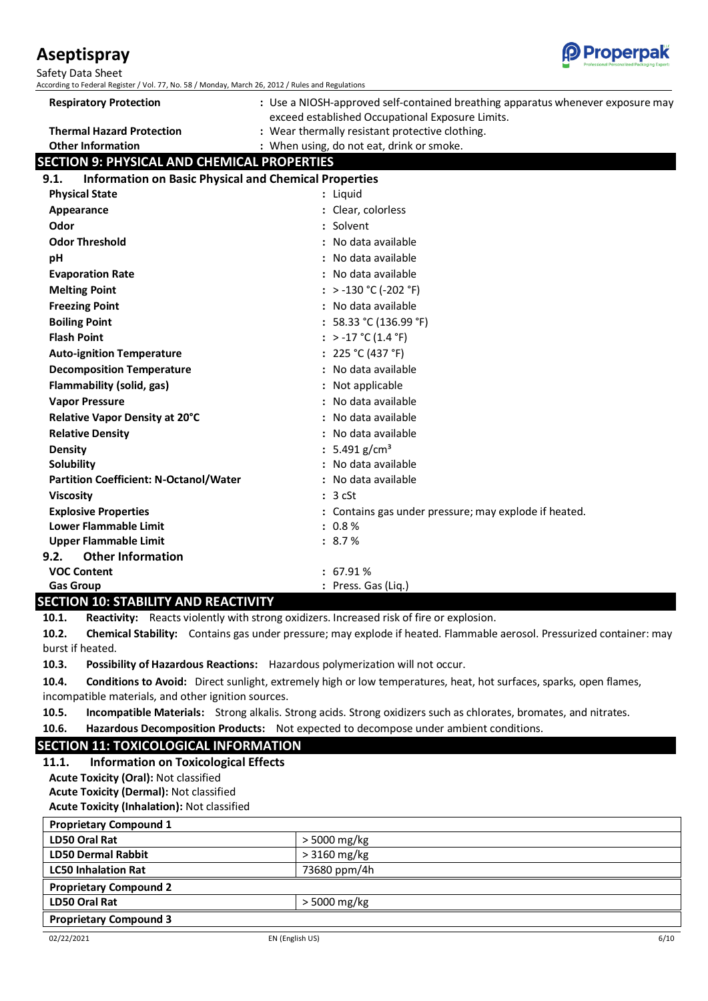02/22/2021 EN (English US) 6/10

# **Aseptispray**

Safety Data Sheet

According to Federal Register / Vol. 77, No. 58 / Monday, March 26, 2012 / Rules and Regulations

| <b>Respiratory Protection</b>                                        | : Use a NIOSH-approved self-contained breathing apparatus whenever exposure may |  |
|----------------------------------------------------------------------|---------------------------------------------------------------------------------|--|
|                                                                      | exceed established Occupational Exposure Limits.                                |  |
| <b>Thermal Hazard Protection</b>                                     | : Wear thermally resistant protective clothing.                                 |  |
| <b>Other Information</b>                                             | : When using, do not eat, drink or smoke.                                       |  |
| <b>SECTION 9: PHYSICAL AND CHEMICAL PROPERTIES</b>                   |                                                                                 |  |
| <b>Information on Basic Physical and Chemical Properties</b><br>9.1. |                                                                                 |  |
| <b>Physical State</b>                                                | : Liquid                                                                        |  |
| Appearance                                                           | : Clear, colorless                                                              |  |
| Odor                                                                 | : Solvent                                                                       |  |
| <b>Odor Threshold</b>                                                | : No data available                                                             |  |
| pH                                                                   | : No data available                                                             |  |
| <b>Evaporation Rate</b>                                              | : No data available                                                             |  |
| <b>Melting Point</b>                                                 | : > -130 °C (-202 °F)                                                           |  |
| <b>Freezing Point</b>                                                | : No data available                                                             |  |
| <b>Boiling Point</b>                                                 | : $58.33 °C (136.99 °F)$                                                        |  |
| <b>Flash Point</b>                                                   | : > -17 °C (1.4 °F)                                                             |  |
| <b>Auto-ignition Temperature</b>                                     | : $225 °C (437 °F)$                                                             |  |
| <b>Decomposition Temperature</b>                                     | : No data available                                                             |  |
| Flammability (solid, gas)                                            | Not applicable                                                                  |  |
| <b>Vapor Pressure</b>                                                | No data available                                                               |  |
| Relative Vapor Density at 20°C                                       | No data available                                                               |  |
| <b>Relative Density</b>                                              | : No data available                                                             |  |
| <b>Density</b>                                                       | : 5.491 g/cm <sup>3</sup>                                                       |  |
| Solubility                                                           | No data available                                                               |  |
| <b>Partition Coefficient: N-Octanol/Water</b>                        | : No data available                                                             |  |
| <b>Viscosity</b>                                                     | : 3 cSt                                                                         |  |
| <b>Explosive Properties</b>                                          | : Contains gas under pressure; may explode if heated.                           |  |
| <b>Lower Flammable Limit</b>                                         | $: 0.8 \%$                                                                      |  |
| <b>Upper Flammable Limit</b>                                         | : 8.7%                                                                          |  |
| <b>Other Information</b><br>9.2.                                     |                                                                                 |  |
| <b>VOC Content</b>                                                   | : 67.91%                                                                        |  |
| <b>Gas Group</b>                                                     | : Press. Gas (Liq.)                                                             |  |

## **SECTION 10: STABILITY AND REACTIVITY**

**10.1. Reactivity:** Reacts violently with strong oxidizers. Increased risk of fire or explosion.

**10.2. Chemical Stability:** Contains gas under pressure; may explode if heated. Flammable aerosol. Pressurized container: may burst if heated.

**10.3. Possibility of Hazardous Reactions:** Hazardous polymerization will not occur.

**10.4. Conditions to Avoid:** Direct sunlight, extremely high or low temperatures, heat, hot surfaces, sparks, open flames, incompatible materials, and other ignition sources.

**10.5. Incompatible Materials:** Strong alkalis. Strong acids. Strong oxidizers such as chlorates, bromates, and nitrates.

**10.6. Hazardous Decomposition Products:** Not expected to decompose under ambient conditions.

# **SECTION 11: TOXICOLOGICAL INFORMATION**

**11.1. Information on Toxicological Effects Acute Toxicity (Oral):** Not classified **Acute Toxicity (Dermal):** Not classified **Acute Toxicity (Inhalation):** Not classified

| <b>Proprietary Compound 1</b> |               |
|-------------------------------|---------------|
| <b>LD50 Oral Rat</b>          | > 5000 mg/kg  |
| <b>LD50 Dermal Rabbit</b>     | $>3160$ mg/kg |
| <b>LC50 Inhalation Rat</b>    | 73680 ppm/4h  |
| <b>Proprietary Compound 2</b> |               |
| LD50 Oral Rat                 | > 5000 mg/kg  |
| <b>Proprietary Compound 3</b> |               |

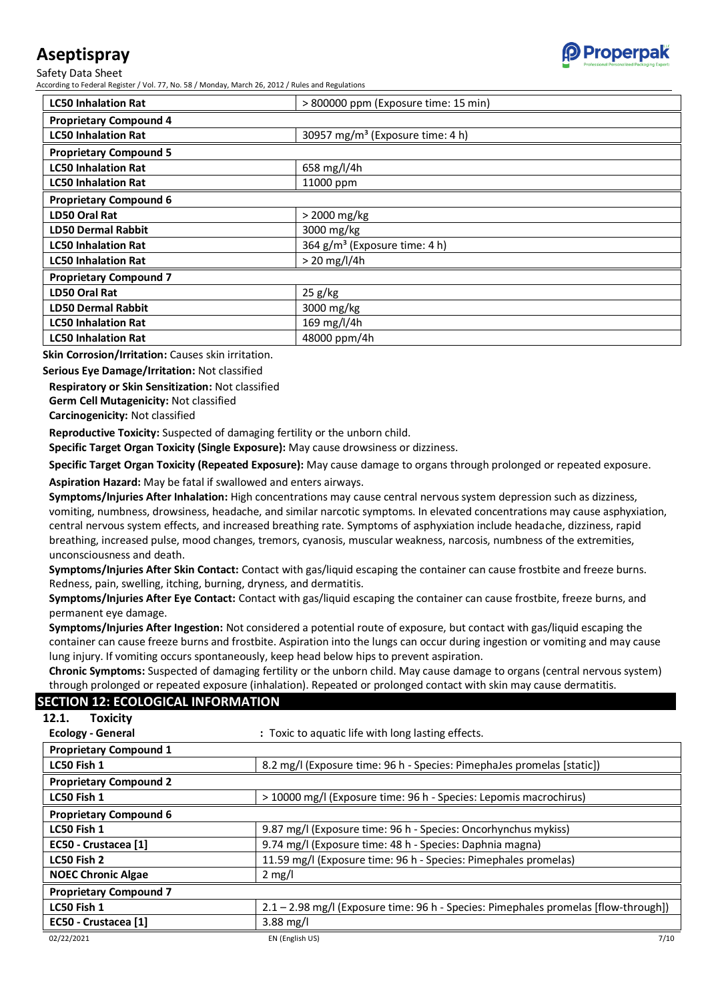Safety Data Sheet

According to Federal Register / Vol. 77, No. 58 / Monday, March 26, 2012 / Rules and Regulations

| <b>LC50 Inhalation Rat</b>    | > 800000 ppm (Exposure time: 15 min)         |
|-------------------------------|----------------------------------------------|
| <b>Proprietary Compound 4</b> |                                              |
| <b>LC50 Inhalation Rat</b>    | 30957 mg/m <sup>3</sup> (Exposure time: 4 h) |
| <b>Proprietary Compound 5</b> |                                              |
| <b>LC50 Inhalation Rat</b>    | 658 mg/l/4h                                  |
| <b>LC50 Inhalation Rat</b>    | 11000 ppm                                    |
| <b>Proprietary Compound 6</b> |                                              |
| LD50 Oral Rat                 | > 2000 mg/kg                                 |
| <b>LD50 Dermal Rabbit</b>     | 3000 mg/kg                                   |
| <b>LC50 Inhalation Rat</b>    | 364 g/m <sup>3</sup> (Exposure time: 4 h)    |
| <b>LC50 Inhalation Rat</b>    | $> 20$ mg/l/4h                               |
| <b>Proprietary Compound 7</b> |                                              |
| LD50 Oral Rat                 | 25 g/kg                                      |
| <b>LD50 Dermal Rabbit</b>     | 3000 mg/kg                                   |
| <b>LC50 Inhalation Rat</b>    | 169 mg/l/4h                                  |
| <b>LC50 Inhalation Rat</b>    | 48000 ppm/4h                                 |

**Skin Corrosion/Irritation:** Causes skin irritation.

**Serious Eye Damage/Irritation:** Not classified

**Respiratory or Skin Sensitization:** Not classified **Germ Cell Mutagenicity:** Not classified

**SECTION 12: ECOLOGICAL INFORMATION**

**Carcinogenicity:** Not classified

**Reproductive Toxicity:** Suspected of damaging fertility or the unborn child.

**Specific Target Organ Toxicity (Single Exposure):** May cause drowsiness or dizziness.

**Specific Target Organ Toxicity (Repeated Exposure):** May cause damage to organs through prolonged or repeated exposure.

**Aspiration Hazard:** May be fatal if swallowed and enters airways.

**Symptoms/Injuries After Inhalation:** High concentrations may cause central nervous system depression such as dizziness, vomiting, numbness, drowsiness, headache, and similar narcotic symptoms. In elevated concentrations may cause asphyxiation, central nervous system effects, and increased breathing rate. Symptoms of asphyxiation include headache, dizziness, rapid breathing, increased pulse, mood changes, tremors, cyanosis, muscular weakness, narcosis, numbness of the extremities, unconsciousness and death.

**Symptoms/Injuries After Skin Contact:** Contact with gas/liquid escaping the container can cause frostbite and freeze burns. Redness, pain, swelling, itching, burning, dryness, and dermatitis.

**Symptoms/Injuries After Eye Contact:** Contact with gas/liquid escaping the container can cause frostbite, freeze burns, and permanent eye damage.

**Symptoms/Injuries After Ingestion:** Not considered a potential route of exposure, but contact with gas/liquid escaping the container can cause freeze burns and frostbite. Aspiration into the lungs can occur during ingestion or vomiting and may cause lung injury. If vomiting occurs spontaneously, keep head below hips to prevent aspiration.

**Chronic Symptoms:** Suspected of damaging fertility or the unborn child. May cause damage to organs (central nervous system) through prolonged or repeated exposure (inhalation). Repeated or prolonged contact with skin may cause dermatitis.

#### 02/22/2021 EN (English US) 7/10 **12.1. Toxicity Ecology - General :** Toxic to aquatic life with long lasting effects. **Proprietary Compound 1 LC50 Fish 1** 8.2 mg/l (Exposure time: 96 h - Species: PimephaJes promelas [static]) **Proprietary Compound 2 LC50 Fish 1** > 10000 mg/l (Exposure time: 96 h - Species: Lepomis macrochirus) **Proprietary Compound 6 LC50 Fish 1** 9.87 mg/l (Exposure time: 96 h - Species: Oncorhynchus mykiss) **EC50 - Crustacea [1]** 9.74 mg/l (Exposure time: 48 h - Species: Daphnia magna) **LC50 Fish 2** 11.59 mg/l (Exposure time: 96 h - Species: Pimephales promelas) **NOEC Chronic Algae** 2 mg/l **Proprietary Compound 7 LC50 Fish 1** 2.1 – 2.98 mg/l (Exposure time: 96 h - Species: Pimephales promelas [flow-through]) **EC50 - Crustacea [1]** 3.88 mg/l

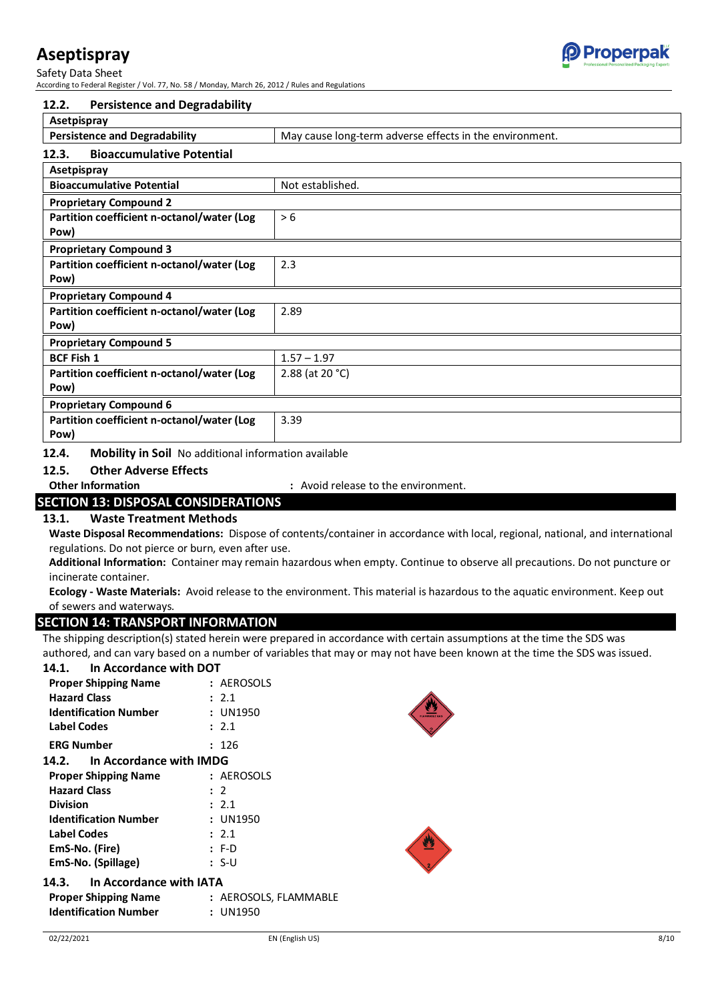# **Properpak**

# **Aseptispray**

Safety Data Sheet According to Federal Register / Vol. 77, No. 58 / Monday, March 26, 2012 / Rules and Regulations

| <b>Persistence and Degradability</b><br>12.2.     |                                                         |
|---------------------------------------------------|---------------------------------------------------------|
| Asetpispray                                       |                                                         |
| <b>Persistence and Degradability</b>              | May cause long-term adverse effects in the environment. |
| <b>Bioaccumulative Potential</b><br>12.3.         |                                                         |
| Asetpispray                                       |                                                         |
| <b>Bioaccumulative Potential</b>                  | Not established.                                        |
| <b>Proprietary Compound 2</b>                     |                                                         |
| Partition coefficient n-octanol/water (Log        | > 6                                                     |
| Pow)                                              |                                                         |
| <b>Proprietary Compound 3</b>                     |                                                         |
| Partition coefficient n-octanol/water (Log<br>2.3 |                                                         |
| Pow)                                              |                                                         |
| <b>Proprietary Compound 4</b>                     |                                                         |
| Partition coefficient n-octanol/water (Log        | 2.89                                                    |
| Pow)                                              |                                                         |
| <b>Proprietary Compound 5</b>                     |                                                         |
| <b>BCF Fish 1</b>                                 | $1.57 - 1.97$                                           |
| Partition coefficient n-octanol/water (Log        | 2.88 (at 20 $^{\circ}$ C)                               |
| Pow)                                              |                                                         |
| <b>Proprietary Compound 6</b>                     |                                                         |
| Partition coefficient n-octanol/water (Log        | 3.39                                                    |
| Pow)                                              |                                                         |

**12.4. Mobility in Soil** No additional information available

#### **12.5. Other Adverse Effects**

**Other Information by Comment. 2.1 Section 1.1 Avoid release to the environment.** 

#### **SECTION 13: DISPOSAL CONSIDERATIONS**

#### **13.1. Waste Treatment Methods**

**Waste Disposal Recommendations:** Dispose of contents/container in accordance with local, regional, national, and international regulations. Do not pierce or burn, even after use.

**Additional Information:** Container may remain hazardous when empty. Continue to observe all precautions. Do not puncture or incinerate container.

**Ecology - Waste Materials:** Avoid release to the environment. This material is hazardous to the aquatic environment. Keep out of sewers and waterways.

#### **SECTION 14: TRANSPORT INFORMATION**

The shipping description(s) stated herein were prepared in accordance with certain assumptions at the time the SDS was authored, and can vary based on a number of variables that may or may not have been known at the time the SDS was issued.

#### **14.1. In Accordance with DOT**

| <b>Proper Shipping Name</b>   | : AEROSOLS |  |
|-------------------------------|------------|--|
| <b>Hazard Class</b>           | : 2.1      |  |
| <b>Identification Number</b>  | : UN1950   |  |
| Label Codes                   | : 2.1      |  |
| <b>ERG Number</b>             | : 126      |  |
| 14.2. In Accordance with IMDG |            |  |
| <b>Proper Shipping Name</b>   | : AEROSOLS |  |
| <b>Hazard Class</b>           | : 2        |  |
| <b>Division</b>               | : 2.1      |  |
| <b>Identification Number</b>  | : UN1950   |  |
| <b>Label Codes</b>            | : 2.1      |  |
| EmS-No. (Fire)                | : F-D      |  |
| EmS-No. (Spillage)            | : S-U      |  |
| $1.4.2$ $1.4.2$ $1.4.7$       |            |  |

#### **14.3. In Accordance with IATA**

| <b>Proper Shipping Name</b>  | : AEROSOLS, FLAMMABLE |
|------------------------------|-----------------------|
| <b>Identification Number</b> | : UN1950              |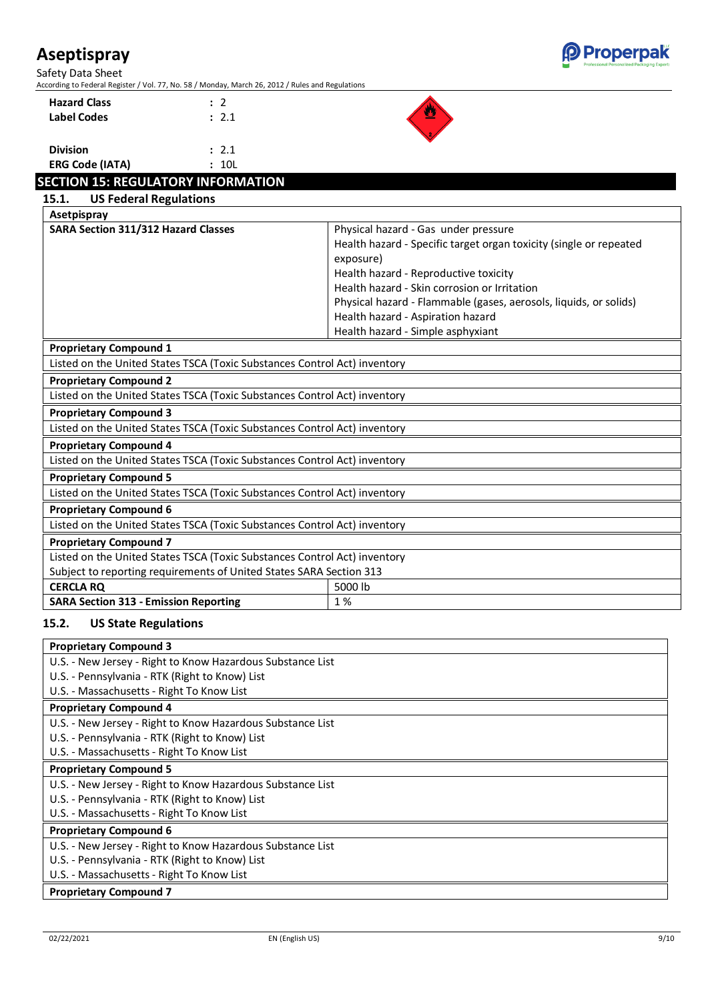Safety Data Sheet



According to Federal Register / Vol. 77, No. 58 / Monday, March 26, 2012 / Rules and Regulations

**Hazard Class :** 2 **Label Codes :** 2.1



| <b>Division</b>        | : 2.1 |
|------------------------|-------|
| <b>ERG Code (IATA)</b> | : 10L |

# **SECTION 15: REGULATORY INFORMATION**

| <b>US Federal Regulations</b><br>15.1.                                    |                                                                    |  |  |
|---------------------------------------------------------------------------|--------------------------------------------------------------------|--|--|
| Asetpispray                                                               |                                                                    |  |  |
| SARA Section 311/312 Hazard Classes                                       | Physical hazard - Gas under pressure                               |  |  |
|                                                                           | Health hazard - Specific target organ toxicity (single or repeated |  |  |
|                                                                           | exposure)                                                          |  |  |
|                                                                           | Health hazard - Reproductive toxicity                              |  |  |
|                                                                           | Health hazard - Skin corrosion or Irritation                       |  |  |
|                                                                           | Physical hazard - Flammable (gases, aerosols, liquids, or solids)  |  |  |
|                                                                           | Health hazard - Aspiration hazard                                  |  |  |
|                                                                           | Health hazard - Simple asphyxiant                                  |  |  |
| <b>Proprietary Compound 1</b>                                             |                                                                    |  |  |
| Listed on the United States TSCA (Toxic Substances Control Act) inventory |                                                                    |  |  |
| <b>Proprietary Compound 2</b>                                             |                                                                    |  |  |
| Listed on the United States TSCA (Toxic Substances Control Act) inventory |                                                                    |  |  |
| <b>Proprietary Compound 3</b>                                             |                                                                    |  |  |
| Listed on the United States TSCA (Toxic Substances Control Act) inventory |                                                                    |  |  |
| <b>Proprietary Compound 4</b>                                             |                                                                    |  |  |
| Listed on the United States TSCA (Toxic Substances Control Act) inventory |                                                                    |  |  |
| <b>Proprietary Compound 5</b>                                             |                                                                    |  |  |
| Listed on the United States TSCA (Toxic Substances Control Act) inventory |                                                                    |  |  |
| <b>Proprietary Compound 6</b>                                             |                                                                    |  |  |
| Listed on the United States TSCA (Toxic Substances Control Act) inventory |                                                                    |  |  |
| <b>Proprietary Compound 7</b>                                             |                                                                    |  |  |
| Listed on the United States TSCA (Toxic Substances Control Act) inventory |                                                                    |  |  |
| Subject to reporting requirements of United States SARA Section 313       |                                                                    |  |  |
| <b>CERCLA RQ</b>                                                          | 5000 lb                                                            |  |  |
| <b>SARA Section 313 - Emission Reporting</b><br>1 %                       |                                                                    |  |  |

#### **15.2. US State Regulations**

| <b>Proprietary Compound 3</b>                              |
|------------------------------------------------------------|
| U.S. - New Jersey - Right to Know Hazardous Substance List |
| U.S. - Pennsylvania - RTK (Right to Know) List             |
| U.S. - Massachusetts - Right To Know List                  |
| <b>Proprietary Compound 4</b>                              |
| U.S. - New Jersey - Right to Know Hazardous Substance List |
| U.S. - Pennsylvania - RTK (Right to Know) List             |
| U.S. - Massachusetts - Right To Know List                  |
| <b>Proprietary Compound 5</b>                              |
| U.S. - New Jersey - Right to Know Hazardous Substance List |
| U.S. - Pennsylvania - RTK (Right to Know) List             |
| U.S. - Massachusetts - Right To Know List                  |
| <b>Proprietary Compound 6</b>                              |
| U.S. - New Jersey - Right to Know Hazardous Substance List |
| U.S. - Pennsylvania - RTK (Right to Know) List             |
| U.S. - Massachusetts - Right To Know List                  |
| <b>Proprietary Compound 7</b>                              |